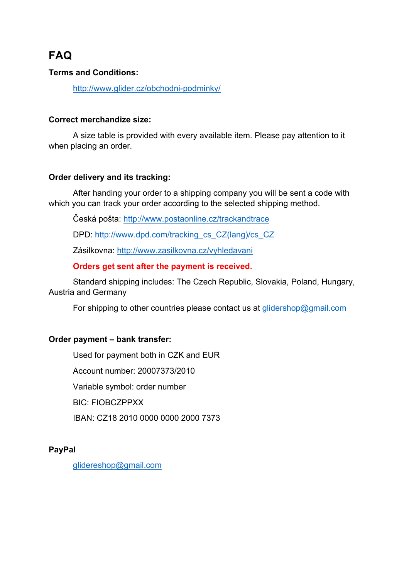# **FAQ**

# **Terms and Conditions:**

http://www.glider.cz/obchodni-podminky/

#### **Correct merchandize size:**

A size table is provided with every available item. Please pay attention to it when placing an order.

# **Order delivery and its tracking:**

After handing your order to a shipping company you will be sent a code with which you can track your order according to the selected shipping method.

Česká pošta: http://www.postaonline.cz/trackandtrace

DPD: http://www.dpd.com/tracking\_cs\_CZ(lang)/cs\_CZ

Zásilkovna: http://www.zasilkovna.cz/vyhledavani

#### **Orders get sent after the payment is received.**

Standard shipping includes: The Czech Republic, Slovakia, Poland, Hungary, Austria and Germany

For shipping to other countries please contact us at glidershop@gmail.com

#### **Order payment – bank transfer:**

Used for payment both in CZK and EUR Account number: 20007373/2010 Variable symbol: order number BIC: FIOBCZPPXX IBAN: CZ18 2010 0000 0000 2000 7373

**PayPal**

glidereshop@gmail.com